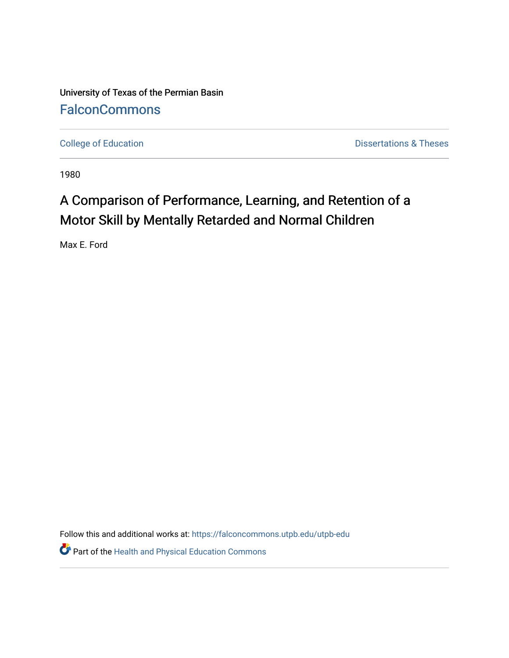University of Texas of the Permian Basin **[FalconCommons](https://falconcommons.utpb.edu/)** 

[College of Education](https://falconcommons.utpb.edu/utpb-edu) **Dissertations & Theses** 

1980

## A Comparison of Performance, Learning, and Retention of a Motor Skill by Mentally Retarded and Normal Children

Max E. Ford

Follow this and additional works at: [https://falconcommons.utpb.edu/utpb-edu](https://falconcommons.utpb.edu/utpb-edu?utm_source=falconcommons.utpb.edu%2Futpb-edu%2F90&utm_medium=PDF&utm_campaign=PDFCoverPages) 

Part of the [Health and Physical Education Commons](http://network.bepress.com/hgg/discipline/1327?utm_source=falconcommons.utpb.edu%2Futpb-edu%2F90&utm_medium=PDF&utm_campaign=PDFCoverPages)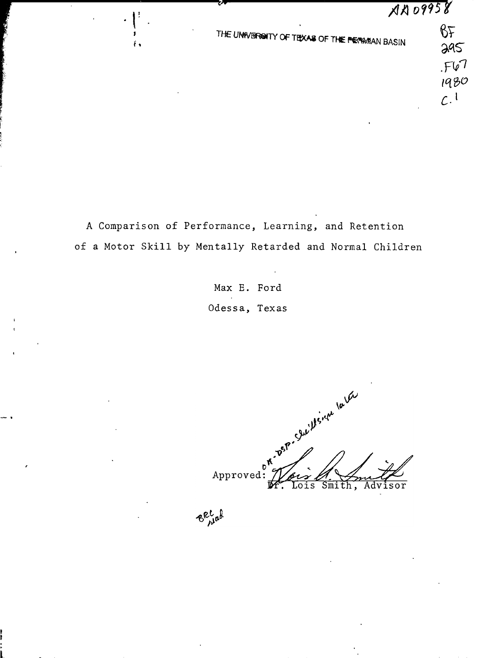THE UNIVERSITY OF TEXAS OF THE PERMIAN BASIN

BF  $295$  $F67$ 1980  $c.1$ 

A Comparison of Performance, Learning, and Retention of a Motor Skill by Mentally Retarded and Normal Children

> Max E. Ford Odessa, Texas

. Osp. Sucillence la ter Approved Lois Smith, Advisor

Becal